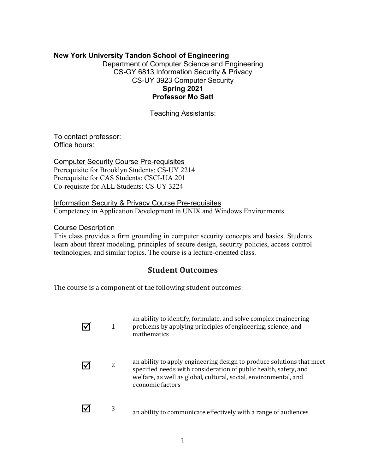# **New York University Tandon School of Engineering**

Department of Computer Science and Engineering CS-GY 6813 Information Security & Privacy CS-UY 3923 Computer Security **Spring 2021 Professor Mo Satt**

Teaching Assistants:

To contact professor: Office hours:

Computer Security Course Pre-requisites Prerequisite for Brooklyn Students: CS-UY 2214 Prerequisite for CAS Students: CSCI-UA 201 Co-requisite for ALL Students: CS-UY 3224

Information Security & Privacy Course Pre-requisites Competency in Application Development in UNIX and Windows Environments.

#### Course Description

This class provides a firm grounding in computer security concepts and basics. Students learn about threat modeling, principles of secure design, security policies, access control technologies, and similar topics. The course is a lecture-oriented class.

# **Student Outcomes**

The course is a component of the following student outcomes:

| 1 | an ability to identify, formulate, and solve complex engineering<br>problems by applying principles of engineering, science, and<br>mathematics                                                                                   |
|---|-----------------------------------------------------------------------------------------------------------------------------------------------------------------------------------------------------------------------------------|
| 2 | an ability to apply engineering design to produce solutions that meet<br>specified needs with consideration of public health, safety, and<br>welfare, as well as global, cultural, social, environmental, and<br>economic factors |
| 3 | an ability to communicate effectively with a range of audiences                                                                                                                                                                   |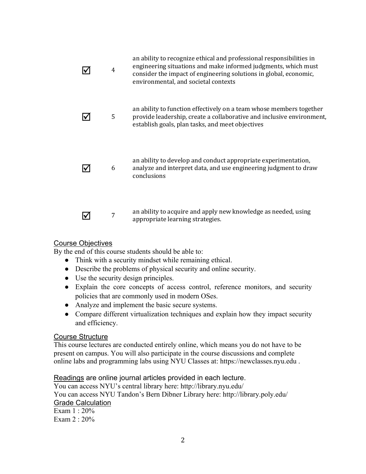| 4 | an ability to recognize ethical and professional responsibilities in<br>engineering situations and make informed judgments, which must<br>consider the impact of engineering solutions in global, economic,<br>environmental, and societal contexts |
|---|-----------------------------------------------------------------------------------------------------------------------------------------------------------------------------------------------------------------------------------------------------|
| 5 | an ability to function effectively on a team whose members together<br>provide leadership, create a collaborative and inclusive environment,<br>establish goals, plan tasks, and meet objectives                                                    |
| 6 | an ability to develop and conduct appropriate experimentation,<br>analyze and interpret data, and use engineering judgment to draw<br>conclusions                                                                                                   |
| 7 | an ability to acquire and apply new knowledge as needed, using<br>appropriate learning strategies.                                                                                                                                                  |

## Course Objectives

By the end of this course students should be able to:

- Think with a security mindset while remaining ethical.
- Describe the problems of physical security and online security.
- Use the security design principles.
- Explain the core concepts of access control, reference monitors, and security policies that are commonly used in modern OSes.
- Analyze and implement the basic secure systems.
- Compare different virtualization techniques and explain how they impact security and efficiency.

#### Course Structure

This course lectures are conducted entirely online, which means you do not have to be present on campus. You will also participate in the course discussions and complete online labs and programming labs using NYU Classes at: https://newclasses.nyu.edu .

Readings are online journal articles provided in each lecture.

You can access NYU's central library here: http://library.nyu.edu/ You can access NYU Tandon's Bern Dibner Library here: http://library.poly.edu/ Grade Calculation Exam 1 : 20% Exam 2 : 20%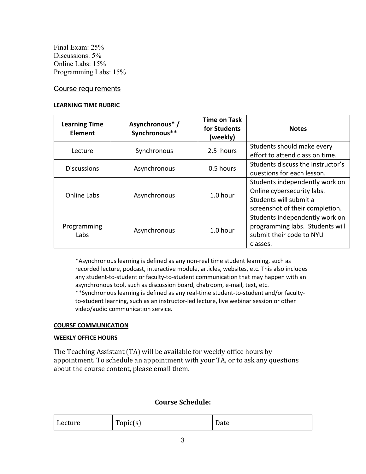Final Exam: 25% Discussions:  $5\%$ Online Labs: 15% Programming Labs: 15%

#### Course requirements

#### **LEARNING TIME RUBRIC**

| <b>Learning Time</b><br><b>Element</b> | Asynchronous*/<br>Synchronous** | <b>Time on Task</b><br>for Students<br>(weekly) | <b>Notes</b>                                                                                                              |
|----------------------------------------|---------------------------------|-------------------------------------------------|---------------------------------------------------------------------------------------------------------------------------|
| Lecture                                | Synchronous                     | 2.5 hours                                       | Students should make every<br>effort to attend class on time.                                                             |
| <b>Discussions</b>                     | Asynchronous                    | 0.5 hours                                       | Students discuss the instructor's<br>questions for each lesson.                                                           |
| Online Labs                            | Asynchronous                    | $1.0$ hour                                      | Students independently work on<br>Online cybersecurity labs.<br>Students will submit a<br>screenshot of their completion. |
| Programming<br>Labs                    | Asynchronous                    | 1.0 hour                                        | Students independently work on<br>programming labs. Students will<br>submit their code to NYU<br>classes.                 |

\*Asynchronous learning is defined as any non-real time student learning, such as recorded lecture, podcast, interactive module, articles, websites, etc. This also includes any student-to-student or faculty-to-student communication that may happen with an asynchronous tool, such as discussion board, chatroom, e-mail, text, etc. \*\*Synchronous learning is defined as any real-time student-to-student and/or facultyto-student learning, such as an instructor-led lecture, live webinar session or other video/audio communication service.

#### **COURSE COMMUNICATION**

#### **WEEKLY OFFICE HOURS**

The Teaching Assistant (TA) will be available for weekly office hours by appointment. To schedule an appointment with your TA, or to ask any questions about the course content, please email them.

## **Course Schedule:**

| Lecture | m<br>Topic(s) | –<br>Date |
|---------|---------------|-----------|
|---------|---------------|-----------|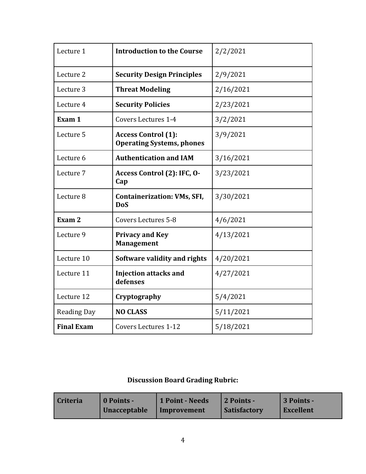| Lecture 1          | <b>Introduction to the Course</b>                              | 2/2/2021  |
|--------------------|----------------------------------------------------------------|-----------|
| Lecture 2          | <b>Security Design Principles</b>                              | 2/9/2021  |
| Lecture 3          | <b>Threat Modeling</b>                                         | 2/16/2021 |
| Lecture 4          | <b>Security Policies</b>                                       | 2/23/2021 |
| Exam 1             | <b>Covers Lectures 1-4</b>                                     | 3/2/2021  |
| Lecture 5          | <b>Access Control (1):</b><br><b>Operating Systems, phones</b> | 3/9/2021  |
| Lecture 6          | <b>Authentication and IAM</b>                                  | 3/16/2021 |
| Lecture 7          | Access Control (2): IFC, O-<br>Cap                             | 3/23/2021 |
| Lecture 8          | <b>Containerization: VMs, SFI,</b><br><b>DoS</b>               | 3/30/2021 |
| Exam <sub>2</sub>  | <b>Covers Lectures 5-8</b>                                     | 4/6/2021  |
| Lecture 9          | <b>Privacy and Key</b><br><b>Management</b>                    | 4/13/2021 |
| Lecture 10         | Software validity and rights                                   | 4/20/2021 |
| Lecture 11         | <b>Injection attacks and</b><br>defenses                       | 4/27/2021 |
| Lecture 12         | Cryptography                                                   | 5/4/2021  |
| <b>Reading Day</b> | <b>NO CLASS</b>                                                | 5/11/2021 |
| <b>Final Exam</b>  | <b>Covers Lectures 1-12</b>                                    | 5/18/2021 |

# **Discussion Board Grading Rubric:**

| <b>Criteria</b> | 0 Points -          | 1 Point - Needs | 2 Points -          | 3 Points - |
|-----------------|---------------------|-----------------|---------------------|------------|
|                 | <b>Unacceptable</b> | Improvement     | <b>Satisfactory</b> | Excellent  |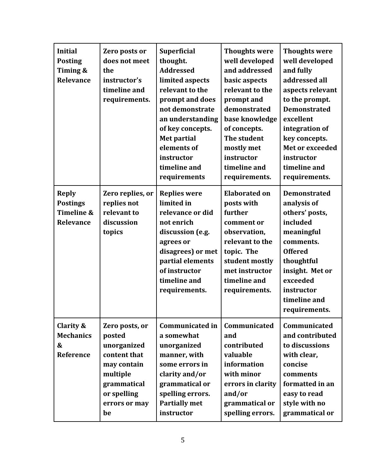| <b>Initial</b><br><b>Posting</b><br>Timing &<br>Relevance  | Zero posts or<br>does not meet<br>the<br>instructor's<br>timeline and<br>requirements.                                                  | <b>Superficial</b><br>thought.<br><b>Addressed</b><br>limited aspects<br>relevant to the<br>prompt and does<br>not demonstrate<br>an understanding<br>of key concepts.<br><b>Met partial</b><br>elements of<br>instructor<br>timeline and<br>requirements | <b>Thoughts were</b><br>well developed<br>and addressed<br>basic aspects<br>relevant to the<br>prompt and<br>demonstrated<br>base knowledge<br>of concepts.<br>The student<br>mostly met<br>instructor<br>timeline and<br>requirements. | <b>Thoughts were</b><br>well developed<br>and fully<br>addressed all<br>aspects relevant<br>to the prompt.<br><b>Demonstrated</b><br>excellent<br>integration of<br>key concepts.<br>Met or exceeded<br>instructor<br>timeline and<br>requirements. |
|------------------------------------------------------------|-----------------------------------------------------------------------------------------------------------------------------------------|-----------------------------------------------------------------------------------------------------------------------------------------------------------------------------------------------------------------------------------------------------------|-----------------------------------------------------------------------------------------------------------------------------------------------------------------------------------------------------------------------------------------|-----------------------------------------------------------------------------------------------------------------------------------------------------------------------------------------------------------------------------------------------------|
| <b>Reply</b><br><b>Postings</b><br>Timeline &<br>Relevance | Zero replies, or<br>replies not<br>relevant to<br>discussion<br>topics                                                                  | <b>Replies were</b><br>limited in<br>relevance or did<br>not enrich<br>discussion (e.g.<br>agrees or<br>disagrees) or met<br>partial elements<br>of instructor<br>timeline and<br>requirements.                                                           | <b>Elaborated on</b><br>posts with<br>further<br>comment or<br>observation,<br>relevant to the<br>topic. The<br>student mostly<br>met instructor<br>timeline and<br>requirements.                                                       | <b>Demonstrated</b><br>analysis of<br>others' posts,<br>included<br>meaningful<br>comments.<br><b>Offered</b><br>thoughtful<br>insight. Met or<br>exceeded<br>instructor<br>timeline and<br>requirements.                                           |
| Clarity &<br><b>Mechanics</b><br>&<br>Reference            | Zero posts, or<br>posted<br>unorganized<br>content that<br>may contain<br>multiple<br>grammatical<br>or spelling<br>errors or may<br>be | <b>Communicated in</b><br>a somewhat<br>unorganized<br>manner, with<br>some errors in<br>clarity and/or<br>grammatical or<br>spelling errors.<br><b>Partially met</b><br>instructor                                                                       | Communicated<br>and<br>contributed<br>valuable<br>information<br>with minor<br>errors in clarity<br>and/or<br>grammatical or<br>spelling errors.                                                                                        | Communicated<br>and contributed<br>to discussions<br>with clear,<br>concise<br>comments<br>formatted in an<br>easy to read<br>style with no<br>grammatical or                                                                                       |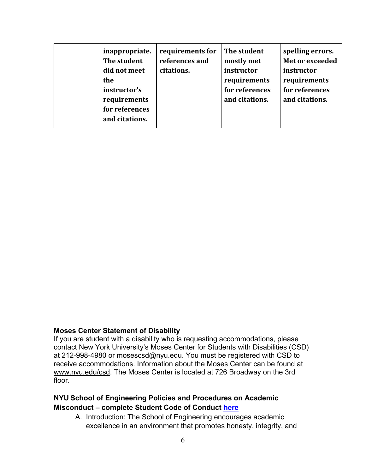| inappropriate.<br>The student<br>did not meet<br>the<br>instructor's<br>requirements<br>for references<br>and citations. | requirements for<br>references and<br>citations. | The student<br>mostly met<br>instructor<br>requirements<br>for references<br>and citations. | spelling errors.<br>Met or exceeded<br>instructor<br>requirements<br>for references<br>and citations. |
|--------------------------------------------------------------------------------------------------------------------------|--------------------------------------------------|---------------------------------------------------------------------------------------------|-------------------------------------------------------------------------------------------------------|
|--------------------------------------------------------------------------------------------------------------------------|--------------------------------------------------|---------------------------------------------------------------------------------------------|-------------------------------------------------------------------------------------------------------|

#### **Moses Center Statement of Disability**

If you are student with a disability who is requesting accommodations, please contact New York University's Moses Center for Students with Disabilities (CSD) at 212-998-4980 or mosescsd@nyu.edu. You must be registered with CSD to receive accommodations. Information about the Moses Center can be found at www.nyu.edu/csd. The Moses Center is located at 726 Broadway on the 3rd floor.

# **NYU School of Engineering Policies and Procedures on Academic Misconduct – complete Student Code of Conduct here**

A. Introduction: The School of Engineering encourages academic excellence in an environment that promotes honesty, integrity, and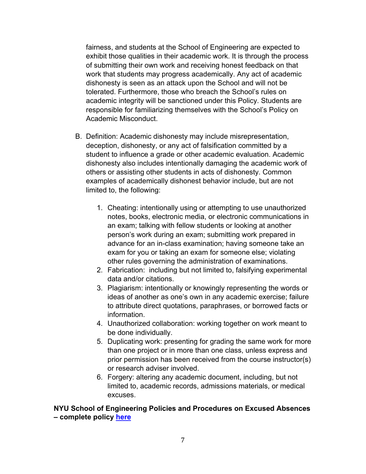fairness, and students at the School of Engineering are expected to exhibit those qualities in their academic work. It is through the process of submitting their own work and receiving honest feedback on that work that students may progress academically. Any act of academic dishonesty is seen as an attack upon the School and will not be tolerated. Furthermore, those who breach the School's rules on academic integrity will be sanctioned under this Policy. Students are responsible for familiarizing themselves with the School's Policy on Academic Misconduct.

- B. Definition: Academic dishonesty may include misrepresentation, deception, dishonesty, or any act of falsification committed by a student to influence a grade or other academic evaluation. Academic dishonesty also includes intentionally damaging the academic work of others or assisting other students in acts of dishonesty. Common examples of academically dishonest behavior include, but are not limited to, the following:
	- 1. Cheating: intentionally using or attempting to use unauthorized notes, books, electronic media, or electronic communications in an exam; talking with fellow students or looking at another person's work during an exam; submitting work prepared in advance for an in-class examination; having someone take an exam for you or taking an exam for someone else; violating other rules governing the administration of examinations.
	- 2. Fabrication: including but not limited to, falsifying experimental data and/or citations.
	- 3. Plagiarism: intentionally or knowingly representing the words or ideas of another as one's own in any academic exercise; failure to attribute direct quotations, paraphrases, or borrowed facts or information.
	- 4. Unauthorized collaboration: working together on work meant to be done individually.
	- 5. Duplicating work: presenting for grading the same work for more than one project or in more than one class, unless express and prior permission has been received from the course instructor(s) or research adviser involved.
	- 6. Forgery: altering any academic document, including, but not limited to, academic records, admissions materials, or medical excuses.

## **NYU School of Engineering Policies and Procedures on Excused Absences – complete policy here**